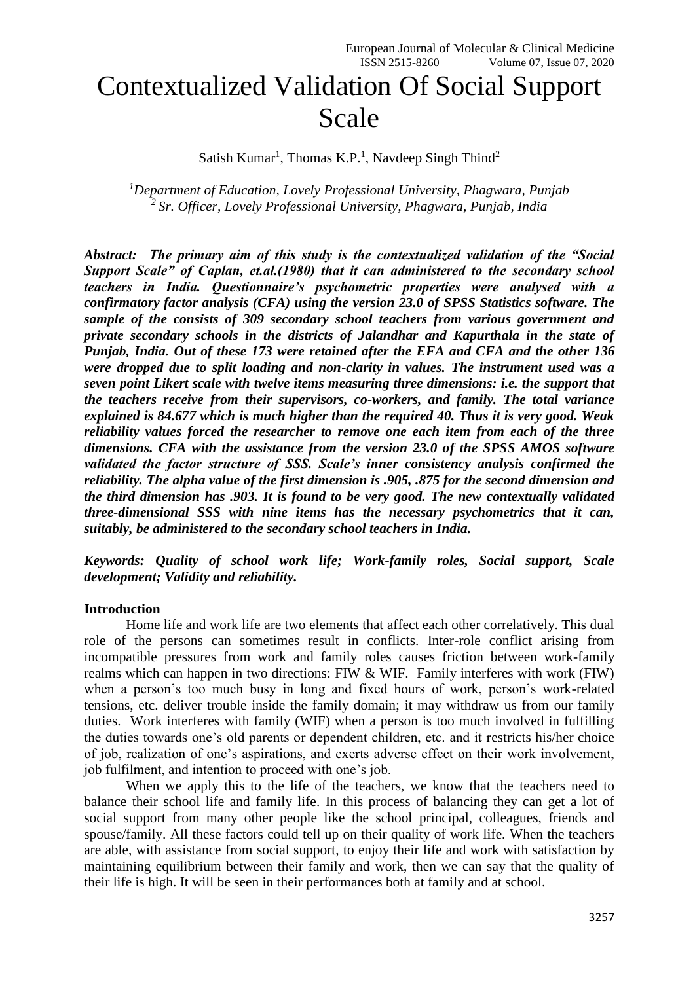# Contextualized Validation Of Social Support Scale

Satish Kumar<sup>1</sup>, Thomas K.P.<sup>1</sup>, Navdeep Singh Thind<sup>2</sup>

*<sup>1</sup>Department of Education, Lovely Professional University, Phagwara, Punjab 2 Sr. Officer, Lovely Professional University, Phagwara, Punjab, India*

*Abstract: The primary aim of this study is the contextualized validation of the "Social Support Scale" of Caplan, et.al.(1980) that it can administered to the secondary school teachers in India. Questionnaire's psychometric properties were analysed with a confirmatory factor analysis (CFA) using the version 23.0 of SPSS Statistics software. The sample of the consists of 309 secondary school teachers from various government and private secondary schools in the districts of Jalandhar and Kapurthala in the state of Punjab, India. Out of these 173 were retained after the EFA and CFA and the other 136 were dropped due to split loading and non-clarity in values. The instrument used was a seven point Likert scale with twelve items measuring three dimensions: i.e. the support that the teachers receive from their supervisors, co-workers, and family. The total variance explained is 84.677 which is much higher than the required 40. Thus it is very good. Weak reliability values forced the researcher to remove one each item from each of the three dimensions. CFA with the assistance from the version 23.0 of the SPSS AMOS software validated the factor structure of SSS. Scale's inner consistency analysis confirmed the reliability. The alpha value of the first dimension is .905, .875 for the second dimension and the third dimension has .903. It is found to be very good. The new contextually validated three-dimensional SSS with nine items has the necessary psychometrics that it can, suitably, be administered to the secondary school teachers in India.* 

*Keywords: Quality of school work life; Work-family roles, Social support, Scale development; Validity and reliability.*

#### **Introduction**

Home life and work life are two elements that affect each other correlatively. This dual role of the persons can sometimes result in conflicts. Inter-role conflict arising from incompatible pressures from work and family roles causes friction between work-family realms which can happen in two directions: FIW & WIF. Family interferes with work (FIW) when a person's too much busy in long and fixed hours of work, person's work-related tensions, etc. deliver trouble inside the family domain; it may withdraw us from our family duties. Work interferes with family (WIF) when a person is too much involved in fulfilling the duties towards one's old parents or dependent children, etc. and it restricts his/her choice of job, realization of one's aspirations, and exerts adverse effect on their work involvement, job fulfilment, and intention to proceed with one's job.

When we apply this to the life of the teachers, we know that the teachers need to balance their school life and family life. In this process of balancing they can get a lot of social support from many other people like the school principal, colleagues, friends and spouse/family. All these factors could tell up on their quality of work life. When the teachers are able, with assistance from social support, to enjoy their life and work with satisfaction by maintaining equilibrium between their family and work, then we can say that the quality of their life is high. It will be seen in their performances both at family and at school.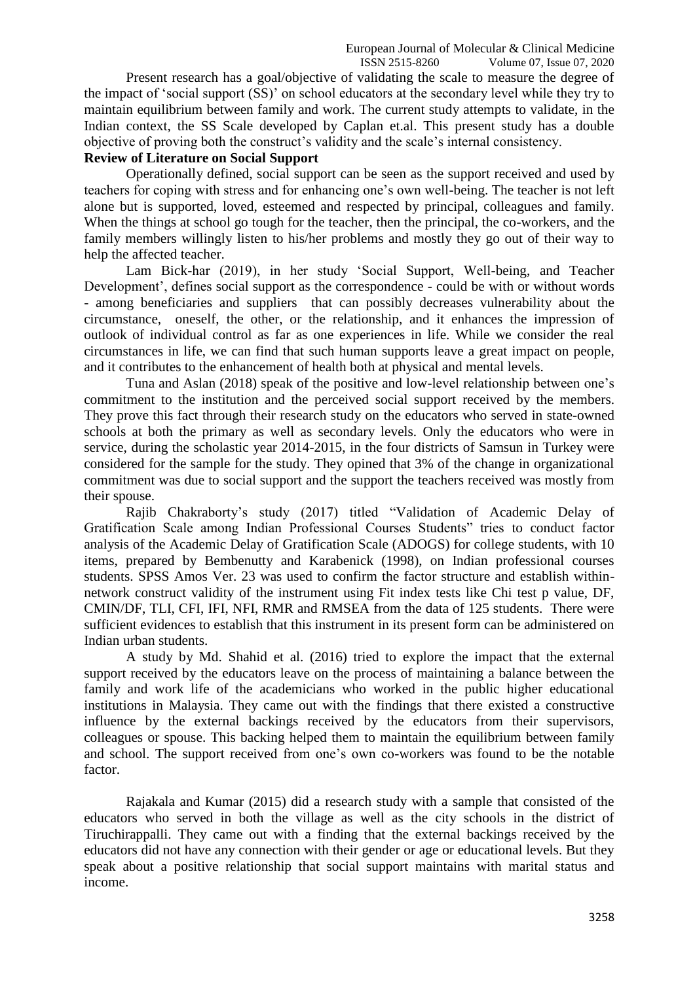Present research has a goal/objective of validating the scale to measure the degree of the impact of 'social support (SS)' on school educators at the secondary level while they try to maintain equilibrium between family and work. The current study attempts to validate, in the Indian context, the SS Scale developed by Caplan et.al. This present study has a double objective of proving both the construct's validity and the scale's internal consistency.

#### **Review of Literature on Social Support**

Operationally defined, social support can be seen as the support received and used by teachers for coping with stress and for enhancing one's own well-being. The teacher is not left alone but is supported, loved, esteemed and respected by principal, colleagues and family. When the things at school go tough for the teacher, then the principal, the co-workers, and the family members willingly listen to his/her problems and mostly they go out of their way to help the affected teacher.

Lam Bick-har (2019), in her study 'Social Support, Well-being, and Teacher Development', defines social support as the correspondence - could be with or without words - among beneficiaries and suppliers that can possibly decreases vulnerability about the circumstance, oneself, the other, or the relationship, and it enhances the impression of outlook of individual control as far as one experiences in life. While we consider the real circumstances in life, we can find that such human supports leave a great impact on people, and it contributes to the enhancement of health both at physical and mental levels.

Tuna and Aslan (2018) speak of the positive and low-level relationship between one's commitment to the institution and the perceived social support received by the members. They prove this fact through their research study on the educators who served in state-owned schools at both the primary as well as secondary levels. Only the educators who were in service, during the scholastic year 2014-2015, in the four districts of Samsun in Turkey were considered for the sample for the study. They opined that 3% of the change in organizational commitment was due to social support and the support the teachers received was mostly from their spouse.

Rajib Chakraborty's study (2017) titled "Validation of Academic Delay of Gratification Scale among Indian Professional Courses Students" tries to conduct factor analysis of the Academic Delay of Gratification Scale (ADOGS) for college students, with 10 items, prepared by Bembenutty and Karabenick (1998), on Indian professional courses students. SPSS Amos Ver. 23 was used to confirm the factor structure and establish withinnetwork construct validity of the instrument using Fit index tests like Chi test p value, DF, CMIN/DF, TLI, CFI, IFI, NFI, RMR and RMSEA from the data of 125 students. There were sufficient evidences to establish that this instrument in its present form can be administered on Indian urban students.

A study by Md. Shahid et al. (2016) tried to explore the impact that the external support received by the educators leave on the process of maintaining a balance between the family and work life of the academicians who worked in the public higher educational institutions in Malaysia. They came out with the findings that there existed a constructive influence by the external backings received by the educators from their supervisors, colleagues or spouse. This backing helped them to maintain the equilibrium between family and school. The support received from one's own co-workers was found to be the notable factor.

Rajakala and Kumar (2015) did a research study with a sample that consisted of the educators who served in both the village as well as the city schools in the district of Tiruchirappalli. They came out with a finding that the external backings received by the educators did not have any connection with their gender or age or educational levels. But they speak about a positive relationship that social support maintains with marital status and income.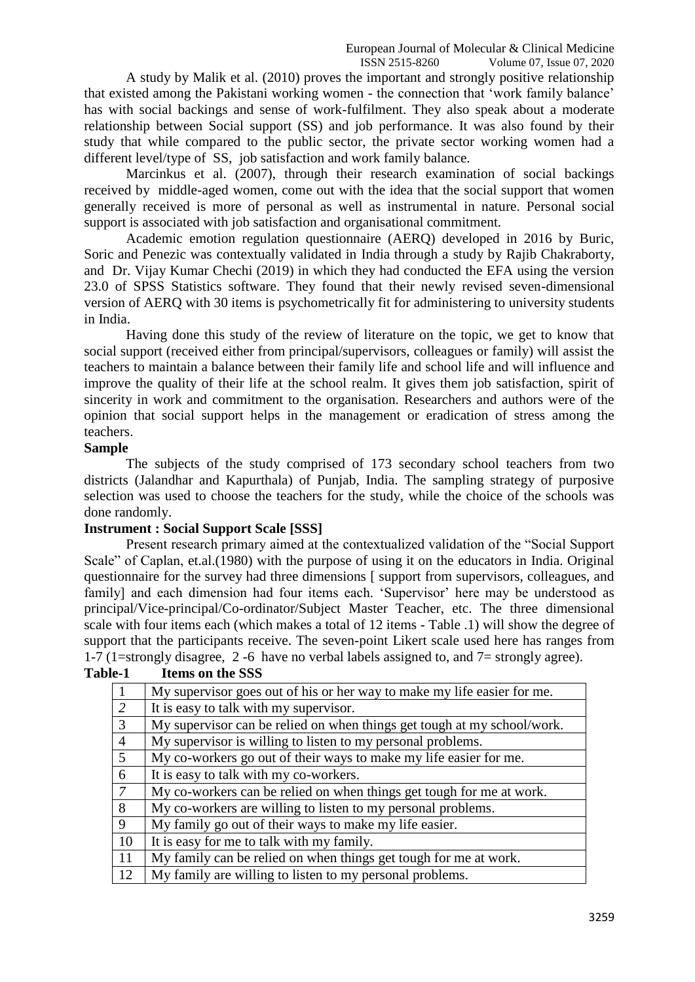A study by Malik et al. (2010) proves the important and strongly positive relationship that existed among the Pakistani working women - the connection that 'work family balance' has with social backings and sense of work-fulfilment. They also speak about a moderate relationship between Social support (SS) and job performance. It was also found by their study that while compared to the public sector, the private sector working women had a different level/type of SS, job satisfaction and work family balance.

Marcinkus et al. (2007), through their research examination of social backings received by middle-aged women, come out with the idea that the social support that women generally received is more of personal as well as instrumental in nature. Personal social support is associated with job satisfaction and organisational commitment.

Academic emotion regulation questionnaire (AERQ) developed in 2016 by Buric, Soric and Penezic was contextually validated in India through a study by Rajib Chakraborty, and Dr. Vijay Kumar Chechi (2019) in which they had conducted the EFA using the version 23.0 of SPSS Statistics software. They found that their newly revised seven-dimensional version of AERQ with 30 items is psychometrically fit for administering to university students in India.

Having done this study of the review of literature on the topic, we get to know that social support (received either from principal/supervisors, colleagues or family) will assist the teachers to maintain a balance between their family life and school life and will influence and improve the quality of their life at the school realm. It gives them job satisfaction, spirit of sincerity in work and commitment to the organisation. Researchers and authors were of the opinion that social support helps in the management or eradication of stress among the teachers.

#### **Sample**

The subjects of the study comprised of 173 secondary school teachers from two districts (Jalandhar and Kapurthala) of Punjab, India. The sampling strategy of purposive selection was used to choose the teachers for the study, while the choice of the schools was done randomly.

## **Instrument : Social Support Scale [SSS]**

Present research primary aimed at the contextualized validation of the "Social Support Scale" of Caplan, et.al.(1980) with the purpose of using it on the educators in India. Original questionnaire for the survey had three dimensions [ support from supervisors, colleagues, and family] and each dimension had four items each. 'Supervisor' here may be understood as principal/Vice-principal/Co-ordinator/Subject Master Teacher, etc. The three dimensional scale with four items each (which makes a total of 12 items - Table .1) will show the degree of support that the participants receive. The seven-point Likert scale used here has ranges from 1-7 (1=strongly disagree, 2 -6 have no verbal labels assigned to, and 7= strongly agree).

| $\overline{1}$ | My supervisor goes out of his or her way to make my life easier for me. |
|----------------|-------------------------------------------------------------------------|
| $\boxed{2}$    | It is easy to talk with my supervisor.                                  |
| $\overline{3}$ | My supervisor can be relied on when things get tough at my school/work. |
| $\overline{4}$ | My supervisor is willing to listen to my personal problems.             |
| 5 <sup>5</sup> | My co-workers go out of their ways to make my life easier for me.       |
| 6              | It is easy to talk with my co-workers.                                  |
| $\overline{7}$ | My co-workers can be relied on when things get tough for me at work.    |
| $\overline{8}$ | My co-workers are willing to listen to my personal problems.            |
| $\overline{9}$ | My family go out of their ways to make my life easier.                  |
| 10             | It is easy for me to talk with my family.                               |
| <sup>11</sup>  | My family can be relied on when things get tough for me at work.        |
| 12             | My family are willing to listen to my personal problems.                |

## **Table-1 Items on the SSS**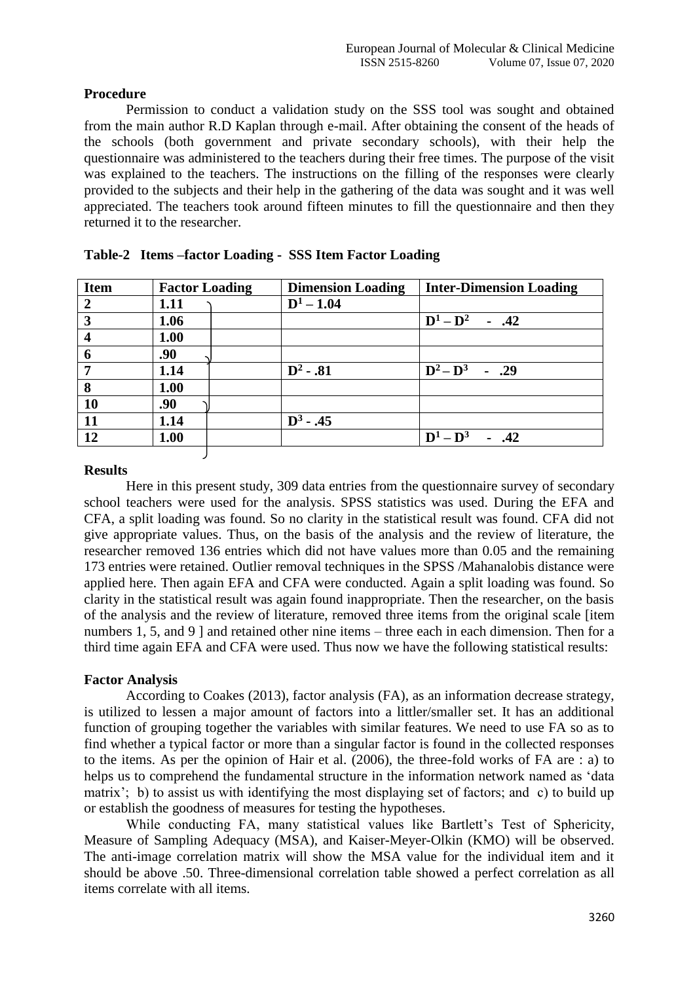## **Procedure**

Permission to conduct a validation study on the SSS tool was sought and obtained from the main author R.D Kaplan through e-mail. After obtaining the consent of the heads of the schools (both government and private secondary schools), with their help the questionnaire was administered to the teachers during their free times. The purpose of the visit was explained to the teachers. The instructions on the filling of the responses were clearly provided to the subjects and their help in the gathering of the data was sought and it was well appreciated. The teachers took around fifteen minutes to fill the questionnaire and then they returned it to the researcher.

| <b>Item</b>             | <b>Factor Loading</b> | <b>Dimension Loading</b> | <b>Inter-Dimension Loading</b> |
|-------------------------|-----------------------|--------------------------|--------------------------------|
| $\overline{2}$          | 1.11                  | $D^1 - 1.04$             |                                |
| $\mathbf{3}$            | 1.06                  |                          | $D^1 - D^2$ - .42              |
| $\overline{\mathbf{4}}$ | 1.00                  |                          |                                |
| 6                       | .90                   |                          |                                |
| $\overline{7}$          | 1.14                  | $D^2 - .81$              | $D^2 - D^3$ - .29              |
| 8                       | 1.00                  |                          |                                |
| <b>10</b>               | .90                   |                          |                                |
| <b>11</b>               | 1.14                  | $D^3 - .45$              |                                |
| <b>12</b>               | 1.00                  |                          | $D^1 - D^3$<br>$- .42$         |
|                         |                       |                          |                                |

| Table-2 Items -factor Loading - SSS Item Factor Loading |  |  |
|---------------------------------------------------------|--|--|
|                                                         |  |  |

## **Results**

Here in this present study, 309 data entries from the questionnaire survey of secondary school teachers were used for the analysis. SPSS statistics was used. During the EFA and CFA, a split loading was found. So no clarity in the statistical result was found. CFA did not give appropriate values. Thus, on the basis of the analysis and the review of literature, the researcher removed 136 entries which did not have values more than 0.05 and the remaining 173 entries were retained. Outlier removal techniques in the SPSS /Mahanalobis distance were applied here. Then again EFA and CFA were conducted. Again a split loading was found. So clarity in the statistical result was again found inappropriate. Then the researcher, on the basis of the analysis and the review of literature, removed three items from the original scale [item numbers 1, 5, and 9 ] and retained other nine items – three each in each dimension. Then for a third time again EFA and CFA were used. Thus now we have the following statistical results:

## **Factor Analysis**

According to Coakes (2013), factor analysis (FA), as an information decrease strategy, is utilized to lessen a major amount of factors into a littler/smaller set. It has an additional function of grouping together the variables with similar features. We need to use FA so as to find whether a typical factor or more than a singular factor is found in the collected responses to the items. As per the opinion of Hair et al. (2006), the three-fold works of FA are : a) to helps us to comprehend the fundamental structure in the information network named as 'data matrix'; b) to assist us with identifying the most displaying set of factors; and c) to build up or establish the goodness of measures for testing the hypotheses.

While conducting FA, many statistical values like Bartlett's Test of Sphericity, Measure of Sampling Adequacy (MSA), and Kaiser-Meyer-Olkin (KMO) will be observed. The anti-image correlation matrix will show the MSA value for the individual item and it should be above .50. Three-dimensional correlation table showed a perfect correlation as all items correlate with all items.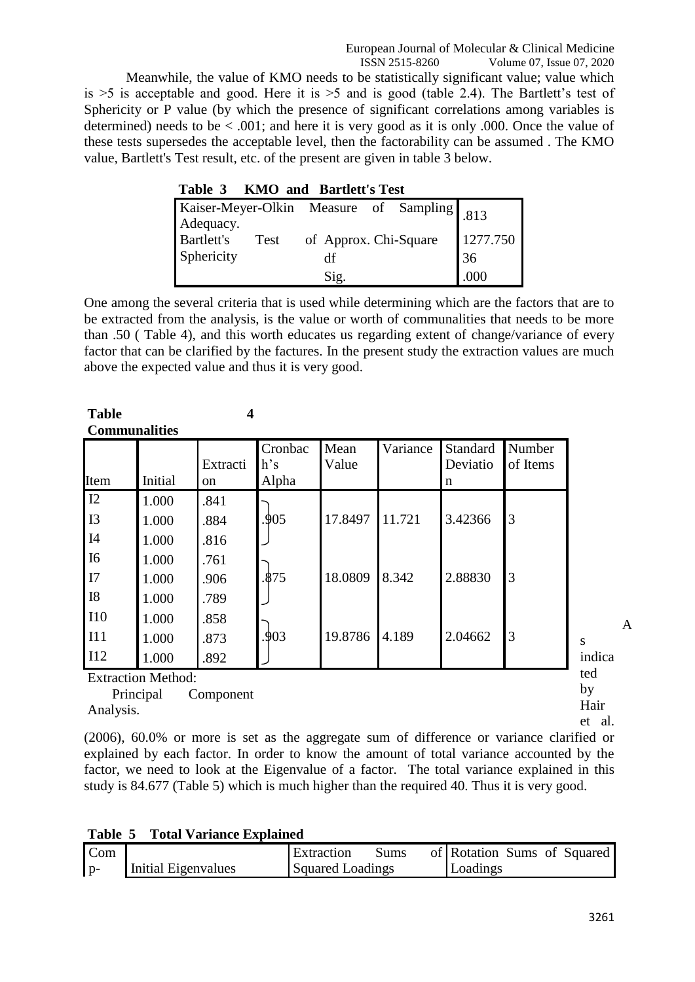Meanwhile, the value of KMO needs to be statistically significant value; value which is  $>5$  is acceptable and good. Here it is  $>5$  and is good (table 2.4). The Bartlett's test of Sphericity or P value (by which the presence of significant correlations among variables is determined) needs to be  $\leq$  0.01; and here it is very good as it is only 0.000. Once the value of these tests supersedes the acceptable level, then the factorability can be assumed . The KMO value, Bartlett's Test result, etc. of the present are given in table 3 below.

|                                                         | $\mathbf{A}$ | <b>Dalutell</b> Deve  |  |          |
|---------------------------------------------------------|--------------|-----------------------|--|----------|
| Kaiser-Meyer-Olkin Measure of Sampling 813<br>Adequacy. |              |                       |  |          |
| <b>Bartlett's</b>                                       | Test         | of Approx. Chi-Square |  | 1277.750 |
| Sphericity                                              |              | df                    |  | 36       |
|                                                         |              | Sig.                  |  | .000     |

**Table 3 KMO and Bartlett's Test**

One among the several criteria that is used while determining which are the factors that are to be extracted from the analysis, is the value or worth of communalities that needs to be more than .50 ( Table 4), and this worth educates us regarding extent of change/variance of every factor that can be clarified by the factures. In the present study the extraction values are much above the expected value and thus it is very good.

| <b>Table</b>    |                                        | 4              |                         |               |          |                           |                    |                          |
|-----------------|----------------------------------------|----------------|-------------------------|---------------|----------|---------------------------|--------------------|--------------------------|
|                 | <b>Communalities</b>                   |                |                         |               |          |                           |                    |                          |
| Item            | Initial                                | Extracti<br>on | Cronbac<br>h's<br>Alpha | Mean<br>Value | Variance | Standard<br>Deviatio<br>n | Number<br>of Items |                          |
| 12              | 1.000                                  | .841           |                         |               |          |                           |                    |                          |
| I3              | 1.000                                  | .884           | .905                    | 17.8497       | 11.721   | 3.42366                   | 3                  |                          |
| I4              | 1.000                                  | .816           |                         |               |          |                           |                    |                          |
| <b>I6</b><br>I7 | 1.000<br>1.000                         | .761<br>.906   | .875                    | 18.0809       | 8.342    | 2.88830                   | 3                  |                          |
| <b>I8</b>       | 1.000                                  | .789           |                         |               |          |                           |                    |                          |
| I10             | 1.000                                  | .858           |                         |               |          |                           |                    |                          |
| I11<br>I12      | 1.000<br>1.000                         | .873<br>.892   | .903                    | 19.8786       | 4.189    | 2.04662                   | 3                  | S<br>indica              |
|                 | <b>Extraction Method:</b><br>Principal | Component      |                         |               |          |                           |                    | ted<br>by<br>$T$ $T$ $T$ |

Analysis.

Hair et al. A

(2006), 60.0% or more is set as the aggregate sum of difference or variance clarified or explained by each factor. In order to know the amount of total variance accounted by the factor, we need to look at the Eigenvalue of a factor. The total variance explained in this study is 84.677 (Table 5) which is much higher than the required 40. Thus it is very good.

|  |  | <b>Table 5 Total Variance Explained</b> |
|--|--|-----------------------------------------|
|  |  |                                         |

| Com   |                     | Extraction              | Sums | of Rotation Sums of Squared |  |  |
|-------|---------------------|-------------------------|------|-----------------------------|--|--|
| $1p-$ | Initial Eigenvalues | <b>Squared Loadings</b> |      | Loadings                    |  |  |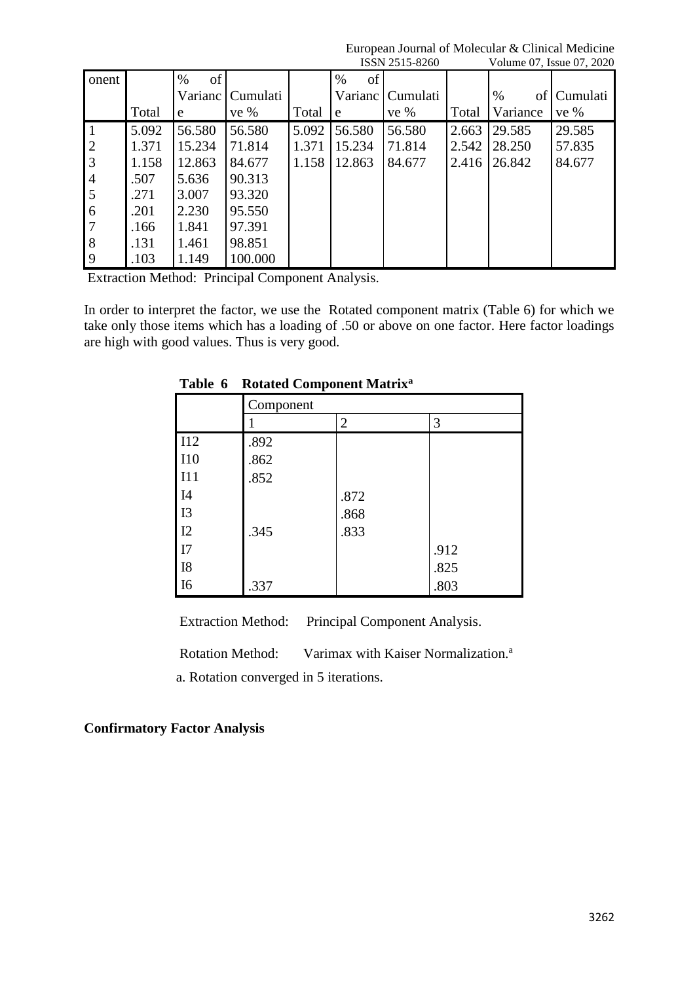|                |       |            |          |       |         | 1001120100 |       |          | $\frac{1}{2}$ order $\frac{1}{2}$ or $\frac{1}{2}$ . Equation of $\frac{1}{2}$ |
|----------------|-------|------------|----------|-------|---------|------------|-------|----------|--------------------------------------------------------------------------------|
| onent          |       | of<br>$\%$ |          |       | %<br>of |            |       |          |                                                                                |
|                |       | Varianc    | Cumulati |       | Varianc | Cumulati   |       | %<br>of  | Cumulati                                                                       |
|                | Total | e          | ve %     | Total | e       | ve %       | Total | Variance | ve %                                                                           |
| $\overline{1}$ | 5.092 | 56.580     | 56.580   | 5.092 | 56.580  | 56.580     | 2.663 | 29.585   | 29.585                                                                         |
| $\overline{c}$ | 1.371 | 15.234     | 71.814   | 1.371 | 15.234  | 71.814     | 2.542 | 28.250   | 57.835                                                                         |
| $\overline{3}$ | 1.158 | 12.863     | 84.677   | 1.158 | 12.863  | 84.677     | 2.416 | 26.842   | 84.677                                                                         |
| $\overline{4}$ | .507  | 5.636      | 90.313   |       |         |            |       |          |                                                                                |
| 5              | .271  | 3.007      | 93.320   |       |         |            |       |          |                                                                                |
| 6              | .201  | 2.230      | 95.550   |       |         |            |       |          |                                                                                |
| $\overline{7}$ | .166  | 1.841      | 97.391   |       |         |            |       |          |                                                                                |
| 8              | .131  | 1.461      | 98.851   |       |         |            |       |          |                                                                                |
| 9              | .103  | 1.149      | 100.000  |       |         |            |       |          |                                                                                |

European Journal of Molecular & Clinical Medicine<br>ISSN 2515-8260 Volume 07 Issue 07 2020 Volume 07. Issue 07, 2020

Extraction Method: Principal Component Analysis.

In order to interpret the factor, we use the Rotated component matrix (Table 6) for which we take only those items which has a loading of .50 or above on one factor. Here factor loadings are high with good values. Thus is very good.

|            | <b>Rotated Component Matrix</b> |                |      |  |  |  |  |  |
|------------|---------------------------------|----------------|------|--|--|--|--|--|
|            | Component                       |                |      |  |  |  |  |  |
|            |                                 | $\overline{2}$ | 3    |  |  |  |  |  |
| I12        | .892                            |                |      |  |  |  |  |  |
| <b>I10</b> | .862                            |                |      |  |  |  |  |  |
| I11        | .852                            |                |      |  |  |  |  |  |
| <b>I4</b>  |                                 | .872           |      |  |  |  |  |  |
| I3         |                                 | .868           |      |  |  |  |  |  |
| I2         | .345                            | .833           |      |  |  |  |  |  |
| I7         |                                 |                | .912 |  |  |  |  |  |
| <b>I8</b>  |                                 |                | .825 |  |  |  |  |  |
| <b>I6</b>  | .337                            |                | .803 |  |  |  |  |  |

**Table 6 Rotated Component Matrix<sup>a</sup>**

Extraction Method: Principal Component Analysis.

Rotation Method: Varimax with Kaiser Normalization.<sup>a</sup> a. Rotation converged in 5 iterations.

## **Confirmatory Factor Analysis**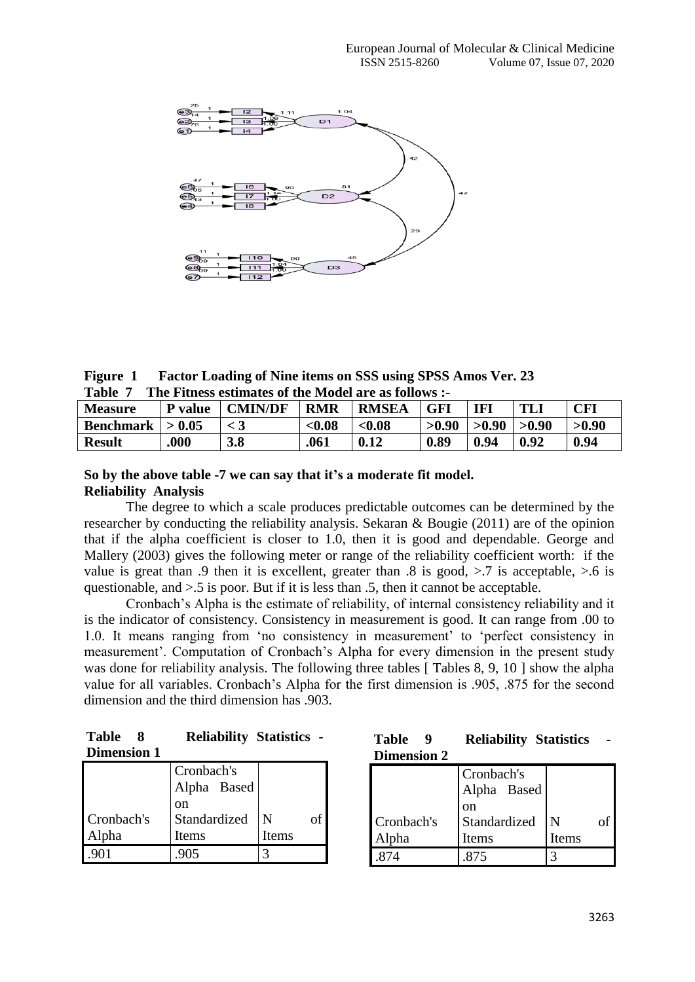

**Figure 1 Factor Loading of Nine items on SSS using SPSS Amos Ver. 23 Table 7 The Fitness estimates of the Model are as follows :-**

| Tanic<br><b>THE THURS'S CSUMMER'S OF THE IMPORT ALL AS TONO WS .</b> |         |                |            |              |       |           |       |            |  |  |  |
|----------------------------------------------------------------------|---------|----------------|------------|--------------|-------|-----------|-------|------------|--|--|--|
| <b>Measure</b>                                                       | P value | <b>CMIN/DF</b> | <b>RMR</b> | <b>RMSEA</b> | GFI   | <b>IF</b> | TLJ   | <b>CFI</b> |  |  |  |
| Benchmark $  > 0.05$                                                 |         |                | < 0.08     | < 0.08       | >0.90 | > 0.90    | >0.90 | >0.90      |  |  |  |
| <b>Result</b>                                                        | .000    | 3.8            | .061       | 0.12         | 0.89  | 0.94      | 0.92  | 0.94       |  |  |  |

#### **So by the above table -7 we can say that it's a moderate fit model. Reliability Analysis**

The degree to which a scale produces predictable outcomes can be determined by the researcher by conducting the reliability analysis. Sekaran & Bougie (2011) are of the opinion that if the alpha coefficient is closer to 1.0, then it is good and dependable. George and Mallery (2003) gives the following meter or range of the reliability coefficient worth: if the value is great than .9 then it is excellent, greater than .8 is good,  $>$ .7 is acceptable,  $>$ .6 is questionable, and >.5 is poor. But if it is less than .5, then it cannot be acceptable.

Cronbach's Alpha is the estimate of reliability, of internal consistency reliability and it is the indicator of consistency. Consistency in measurement is good. It can range from .00 to 1.0. It means ranging from 'no consistency in measurement' to 'perfect consistency in measurement'. Computation of Cronbach's Alpha for every dimension in the present study was done for reliability analysis. The following three tables [Tables 8, 9, 10 ] show the alpha value for all variables. Cronbach's Alpha for the first dimension is .905, .875 for the second dimension and the third dimension has .903.

| Table 8            | <b>Reliability Statistics -</b> |  |
|--------------------|---------------------------------|--|
| <b>Dimension 1</b> |                                 |  |

|            | Cronbach's<br>Alpha Based<br>on |       |  |
|------------|---------------------------------|-------|--|
| Cronbach's | Standardized                    | N     |  |
| Alpha      | Items                           | Items |  |
|            | 905                             |       |  |

| Table 9            | <b>Reliability Statistics</b> |  |
|--------------------|-------------------------------|--|
| <b>Dimension 2</b> |                               |  |

|            | Cronbach's<br>Alpha Based |       |  |
|------------|---------------------------|-------|--|
|            | on                        |       |  |
| Cronbach's | Standardized              | N     |  |
| Alpha      | Items                     | Items |  |
|            |                           |       |  |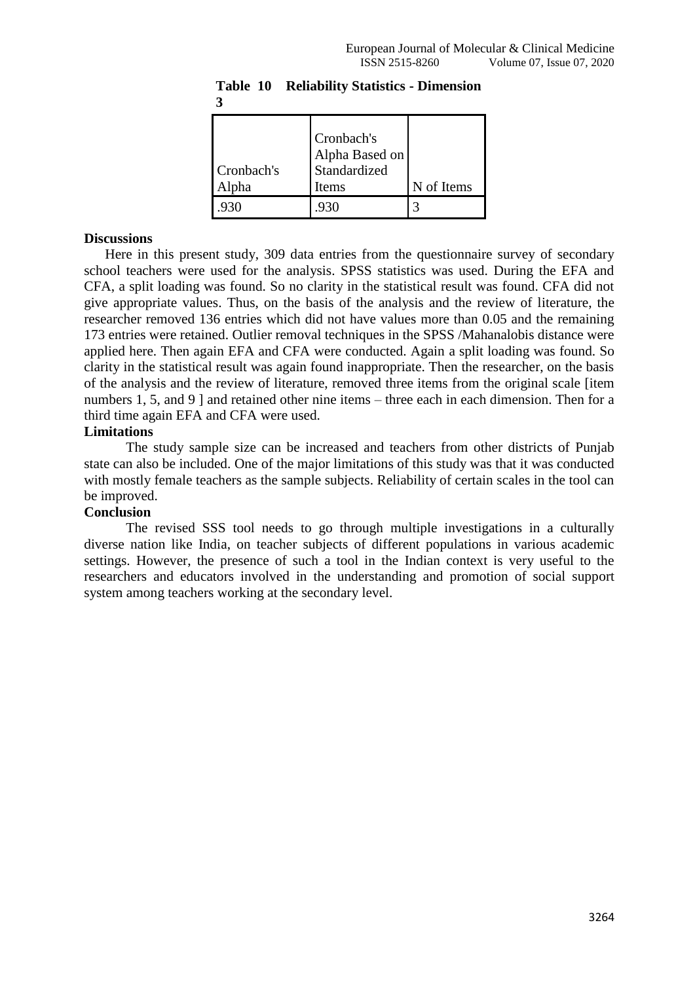| Cronbach's<br>Alpha | Cronbach's<br>Alpha Based on<br>Standardized<br>Items | N of Items |
|---------------------|-------------------------------------------------------|------------|
|                     | 930                                                   |            |

**Table 10 Reliability Statistics - Dimension 3**

#### **Discussions**

Here in this present study, 309 data entries from the questionnaire survey of secondary school teachers were used for the analysis. SPSS statistics was used. During the EFA and CFA, a split loading was found. So no clarity in the statistical result was found. CFA did not give appropriate values. Thus, on the basis of the analysis and the review of literature, the researcher removed 136 entries which did not have values more than 0.05 and the remaining 173 entries were retained. Outlier removal techniques in the SPSS /Mahanalobis distance were applied here. Then again EFA and CFA were conducted. Again a split loading was found. So clarity in the statistical result was again found inappropriate. Then the researcher, on the basis of the analysis and the review of literature, removed three items from the original scale [item numbers 1, 5, and 9 ] and retained other nine items – three each in each dimension. Then for a third time again EFA and CFA were used.

## **Limitations**

The study sample size can be increased and teachers from other districts of Punjab state can also be included. One of the major limitations of this study was that it was conducted with mostly female teachers as the sample subjects. Reliability of certain scales in the tool can be improved.

## **Conclusion**

The revised SSS tool needs to go through multiple investigations in a culturally diverse nation like India, on teacher subjects of different populations in various academic settings. However, the presence of such a tool in the Indian context is very useful to the researchers and educators involved in the understanding and promotion of social support system among teachers working at the secondary level.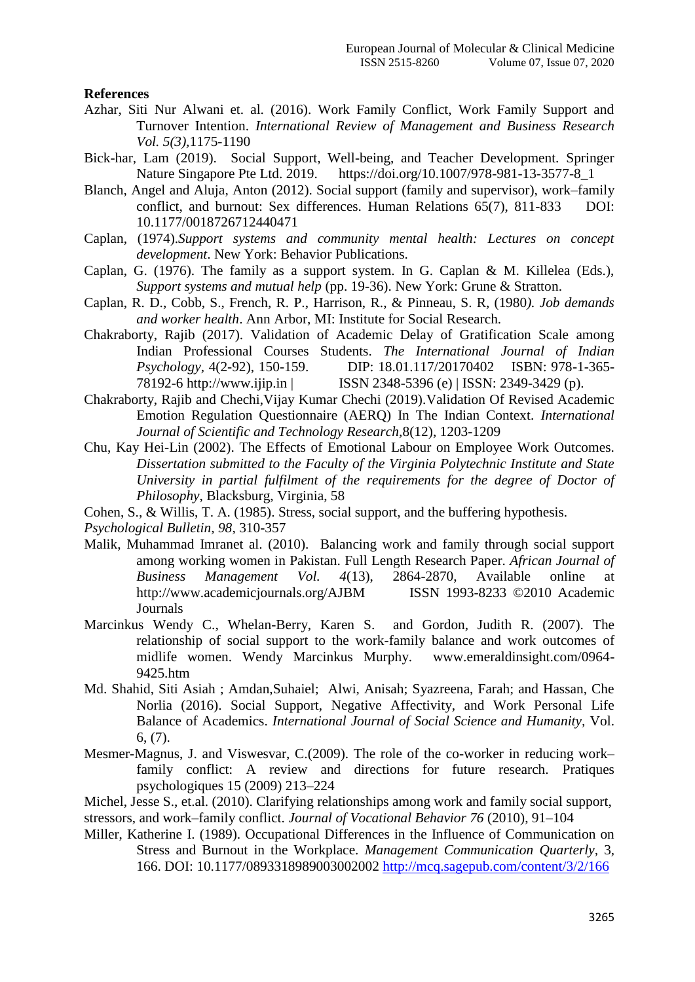#### **References**

- Azhar, Siti Nur Alwani et. al. (2016). Work Family Conflict, Work Family Support and Turnover Intention. *International Review of Management and Business Research Vol. 5(3),*1175-1190
- Bick-har, Lam (2019). Social Support, Well-being, and Teacher Development. Springer Nature Singapore Pte Ltd. 2019. https://doi.org/10.1007/978-981-13-3577-8\_1
- Blanch, Angel and Aluja, Anton (2012). Social support (family and supervisor), work–family conflict, and burnout: Sex differences. Human Relations 65(7), 811-833 DOI: 10.1177/0018726712440471
- Caplan, (1974).*Support systems and community mental health: Lectures on concept development*. New York: Behavior Publications.
- Caplan, G. (1976). The family as a support system. In G. Caplan & M. Killelea (Eds.), *Support systems and mutual help* (pp. 19-36). New York: Grune & Stratton.
- Caplan, R. D., Cobb, S., French, R. P., Harrison, R., & Pinneau, S. R, (1980*). Job demands and worker health*. Ann Arbor, MI: Institute for Social Research.
- Chakraborty, Rajib (2017). Validation of Academic Delay of Gratification Scale among Indian Professional Courses Students. *The International Journal of Indian Psychology,* 4(2-92), 150-159. DIP: 18.01.117/20170402 ISBN: 978-1-365- 78192-6 http://www.ijip.in | ISSN 2348-5396 (e) | ISSN: 2349-3429 (p).
- Chakraborty, Rajib and Chechi,Vijay Kumar Chechi (2019).Validation Of Revised Academic Emotion Regulation Questionnaire (AERQ) In The Indian Context. *International Journal of Scientific and Technology Research,*8(12), 1203-1209
- Chu, Kay Hei-Lin (2002). The Effects of Emotional Labour on Employee Work Outcomes. *Dissertation submitted to the Faculty of the Virginia Polytechnic Institute and State University in partial fulfilment of the requirements for the degree of Doctor of Philosophy*, Blacksburg, Virginia, 58

Cohen, S., & Willis, T. A. (1985). Stress, social support, and the buffering hypothesis.

*Psychological Bulletin, 98*, 310-357

- Malik, Muhammad Imranet al. (2010). Balancing work and family through social support among working women in Pakistan. Full Length Research Paper. *African Journal of Business Management Vol. 4*(13), 2864-2870, Available online at <http://www.academicjournals.org/AJBM>ISSN 1993-8233 ©2010 Academic **Journals**
- Marcinkus Wendy C., Whelan-Berry, Karen S. and Gordon, Judith R. (2007). The relationship of social support to the work-family balance and work outcomes of midlife women. Wendy Marcinkus Murphy. www.emeraldinsight.com/0964- 9425.htm
- Md. Shahid, Siti Asiah ; Amdan,Suhaiel; Alwi, Anisah; Syazreena, Farah; and Hassan, Che Norlia (2016). Social Support, Negative Affectivity, and Work Personal Life Balance of Academics. *International Journal of Social Science and Humanity,* Vol. 6, (7).
- Mesmer-Magnus, J. and Viswesvar, C.(2009). The role of the co-worker in reducing work– family conflict: A review and directions for future research. Pratiques psychologiques 15 (2009) 213–224
- Michel, Jesse S., et.al. (2010). Clarifying relationships among work and family social support,

stressors, and work–family conflict. *Journal of Vocational Behavior 76* (2010), 91–104

Miller, Katherine I. (1989). Occupational Differences in the Influence of Communication on Stress and Burnout in the Workplace. *Management Communication Quarterly,* 3, 166. DOI: 10.1177/0893318989003002002<http://mcq.sagepub.com/content/3/2/166>